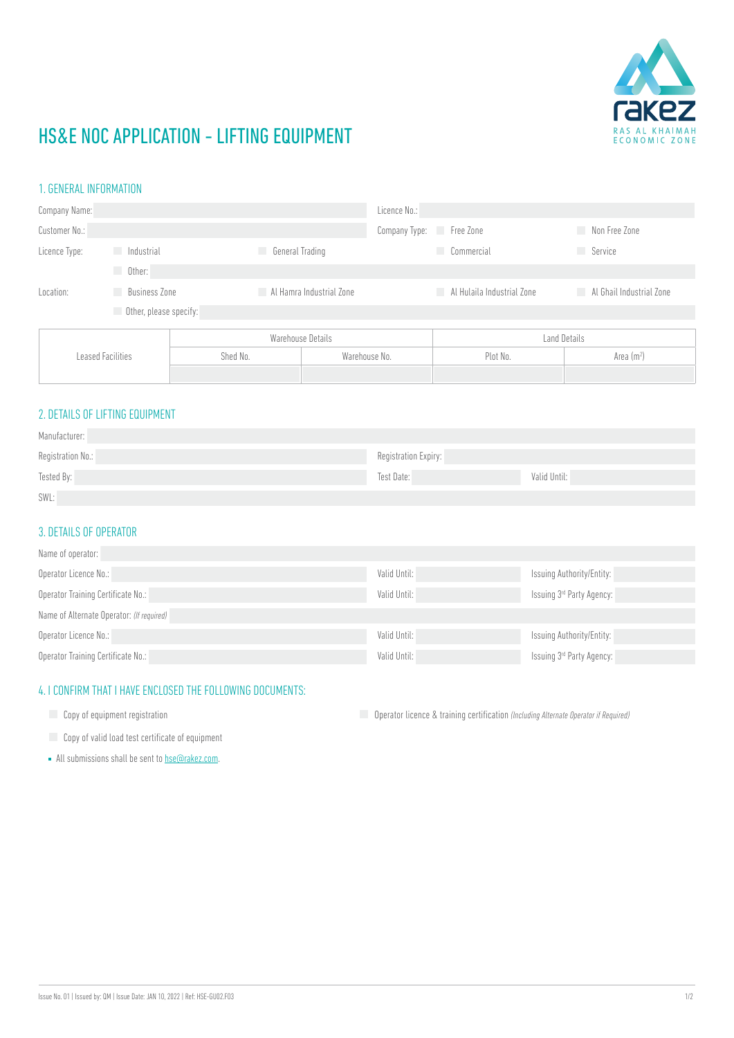

# HS&E NOC APPLICATION - LIFTING EQUIPMENT

#### 1. GENERAL INFORMATION

| Company Name:            |                             |                 | Licence No.:             |                                              |                                            |  |
|--------------------------|-----------------------------|-----------------|--------------------------|----------------------------------------------|--------------------------------------------|--|
| Customer No.:            |                             |                 | Company Type: Free Zone  |                                              | Non Free Zone                              |  |
| Licence Type:            | Industrial                  | General Trading |                          | Commercial                                   | <b>Service</b>                             |  |
|                          | Other:                      |                 |                          |                                              |                                            |  |
| Location:                | <b>Business Zone</b><br>a a | u.              | Al Hamra Industrial Zone | <b>Example 11 Al Hulaila Industrial Zone</b> | <b>Example 21 Al Ghail Industrial Zone</b> |  |
|                          | Other, please specify:      |                 |                          |                                              |                                            |  |
| <b>Leased Facilities</b> |                             |                 | Warehouse Details        |                                              | Land Details                               |  |
|                          |                             | Shed No.        | Warehouse No.            | Plot No.                                     | Area $(m2)$                                |  |
|                          |                             |                 |                          |                                              |                                            |  |

### 2. DETAILS OF LIFTING EQUIPMENT

| Manufacturer:     |                      |              |
|-------------------|----------------------|--------------|
| Registration No.: | Registration Expiry: |              |
| Tested By:        | Test Date:           | Valid Until: |
| SWL:              |                      |              |

#### 3. DETAILS OF OPERATOR

| Name of operator:                         |              |                           |  |  |
|-------------------------------------------|--------------|---------------------------|--|--|
| Operator Licence No.:                     | Valid Until: | Issuing Authority/Entity: |  |  |
| Operator Training Certificate No.:        | Valid Until: | Issuing 3rd Party Agency: |  |  |
| Name of Alternate Operator: (If required) |              |                           |  |  |
| Operator Licence No.:                     | Valid Until: | Issuing Authority/Entity: |  |  |
| Operator Training Certificate No.:        | Valid Until: | Issuing 3rd Party Agency: |  |  |

### 4. I CONFIRM THAT I HAVE ENCLOSED THE FOLLOWING DOCUMENTS:

Copy of equipment registration **Operator Straining Certification** (Including Alternate Operator if Required)

- **Copy of valid load test certificate of equipment**
- All submissions shall be sent to **hse@rakez.com**.